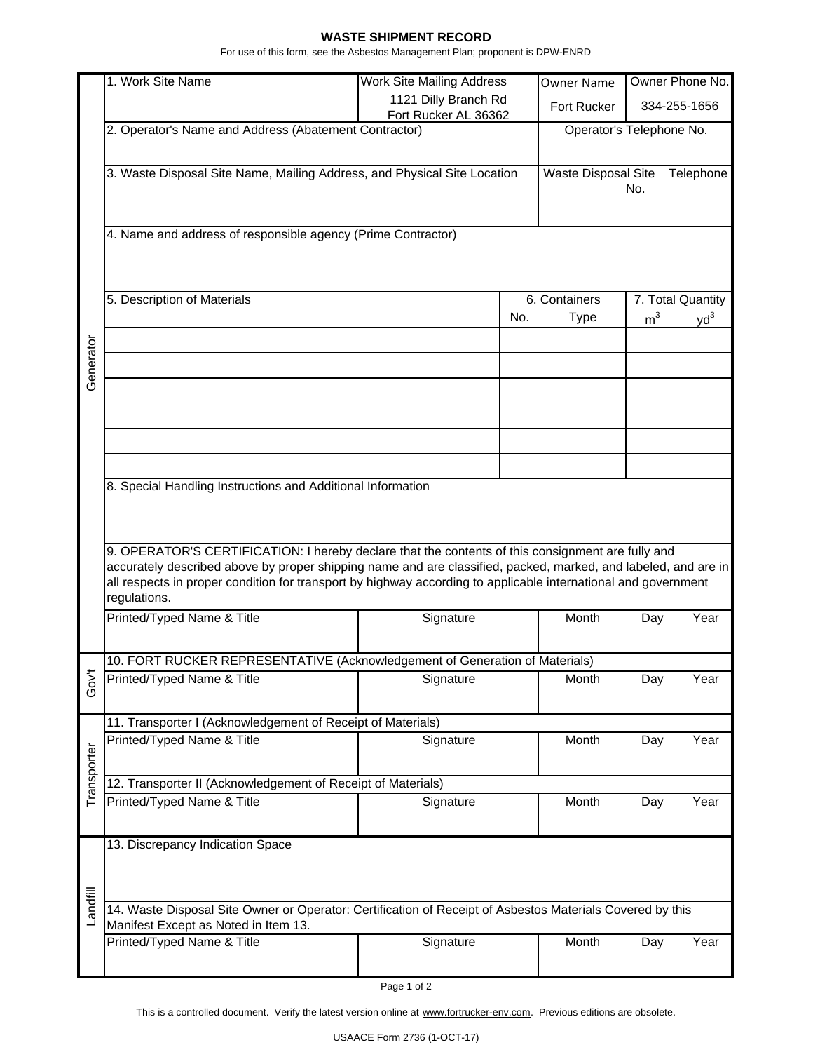## **WASTE SHIPMENT RECORD**

For use of this form, see the Asbestos Management Plan; proponent is DPW-ENRD

|                                                                                                                                                                                                                                                                                                                                                       | 1. Work Site Name                                                                                         | <b>Work Site Mailing Address</b> |                          | <b>Owner Name</b>                       |                   | Owner Phone No.          |  |
|-------------------------------------------------------------------------------------------------------------------------------------------------------------------------------------------------------------------------------------------------------------------------------------------------------------------------------------------------------|-----------------------------------------------------------------------------------------------------------|----------------------------------|--------------------------|-----------------------------------------|-------------------|--------------------------|--|
|                                                                                                                                                                                                                                                                                                                                                       |                                                                                                           | 1121 Dilly Branch Rd             |                          |                                         |                   | 334-255-1656             |  |
|                                                                                                                                                                                                                                                                                                                                                       |                                                                                                           | Fort Rucker AL 36362             |                          | Fort Rucker                             |                   |                          |  |
|                                                                                                                                                                                                                                                                                                                                                       | 2. Operator's Name and Address (Abatement Contractor)                                                     |                                  | Operator's Telephone No. |                                         |                   |                          |  |
|                                                                                                                                                                                                                                                                                                                                                       | 3. Waste Disposal Site Name, Mailing Address, and Physical Site Location                                  |                                  |                          | Waste Disposal Site<br>Telephone<br>No. |                   |                          |  |
|                                                                                                                                                                                                                                                                                                                                                       | 4. Name and address of responsible agency (Prime Contractor)                                              |                                  |                          |                                         |                   |                          |  |
|                                                                                                                                                                                                                                                                                                                                                       | 5. Description of Materials                                                                               |                                  | 6. Containers            |                                         | 7. Total Quantity |                          |  |
|                                                                                                                                                                                                                                                                                                                                                       |                                                                                                           |                                  | No.                      | <b>Type</b>                             | m <sup>3</sup>    | $\mathsf{v}\mathsf{d}^3$ |  |
| Generator                                                                                                                                                                                                                                                                                                                                             |                                                                                                           |                                  |                          |                                         |                   |                          |  |
|                                                                                                                                                                                                                                                                                                                                                       |                                                                                                           |                                  |                          |                                         |                   |                          |  |
|                                                                                                                                                                                                                                                                                                                                                       |                                                                                                           |                                  |                          |                                         |                   |                          |  |
|                                                                                                                                                                                                                                                                                                                                                       |                                                                                                           |                                  |                          |                                         |                   |                          |  |
|                                                                                                                                                                                                                                                                                                                                                       |                                                                                                           |                                  |                          |                                         |                   |                          |  |
| 8. Special Handling Instructions and Additional Information                                                                                                                                                                                                                                                                                           |                                                                                                           |                                  |                          |                                         |                   |                          |  |
|                                                                                                                                                                                                                                                                                                                                                       |                                                                                                           |                                  |                          |                                         |                   |                          |  |
| 9. OPERATOR'S CERTIFICATION: I hereby declare that the contents of this consignment are fully and<br>accurately described above by proper shipping name and are classified, packed, marked, and labeled, and are in<br>all respects in proper condition for transport by highway according to applicable international and government<br>regulations. |                                                                                                           |                                  |                          |                                         |                   |                          |  |
|                                                                                                                                                                                                                                                                                                                                                       | Printed/Typed Name & Title                                                                                | Signature                        |                          | Month                                   | Day               | Year                     |  |
|                                                                                                                                                                                                                                                                                                                                                       | 10. FORT RUCKER REPRESENTATIVE (Acknowledgement of Generation of Materials)                               |                                  |                          |                                         |                   |                          |  |
| Gov't                                                                                                                                                                                                                                                                                                                                                 | Printed/Typed Name & Title                                                                                | Signature                        |                          | Month                                   | Day               | Year                     |  |
| 11. Transporter I (Acknowledgement of Receipt of Materials)                                                                                                                                                                                                                                                                                           |                                                                                                           |                                  |                          |                                         |                   |                          |  |
| Transporter                                                                                                                                                                                                                                                                                                                                           | Printed/Typed Name & Title                                                                                | Signature                        |                          | Month                                   | Day               | Year                     |  |
|                                                                                                                                                                                                                                                                                                                                                       | 12. Transporter II (Acknowledgement of Receipt of Materials)                                              |                                  |                          |                                         |                   |                          |  |
|                                                                                                                                                                                                                                                                                                                                                       | Printed/Typed Name & Title                                                                                | Signature                        |                          | Month                                   | Day               | Year                     |  |
|                                                                                                                                                                                                                                                                                                                                                       | 13. Discrepancy Indication Space                                                                          |                                  |                          |                                         |                   |                          |  |
|                                                                                                                                                                                                                                                                                                                                                       |                                                                                                           |                                  |                          |                                         |                   |                          |  |
| Landfill                                                                                                                                                                                                                                                                                                                                              | 14. Waste Disposal Site Owner or Operator: Certification of Receipt of Asbestos Materials Covered by this |                                  |                          |                                         |                   |                          |  |
|                                                                                                                                                                                                                                                                                                                                                       | Manifest Except as Noted in Item 13.<br>Printed/Typed Name & Title                                        | Signature                        |                          | Month                                   | Day               | Year                     |  |
|                                                                                                                                                                                                                                                                                                                                                       |                                                                                                           |                                  |                          |                                         |                   |                          |  |

Page 1 of 2